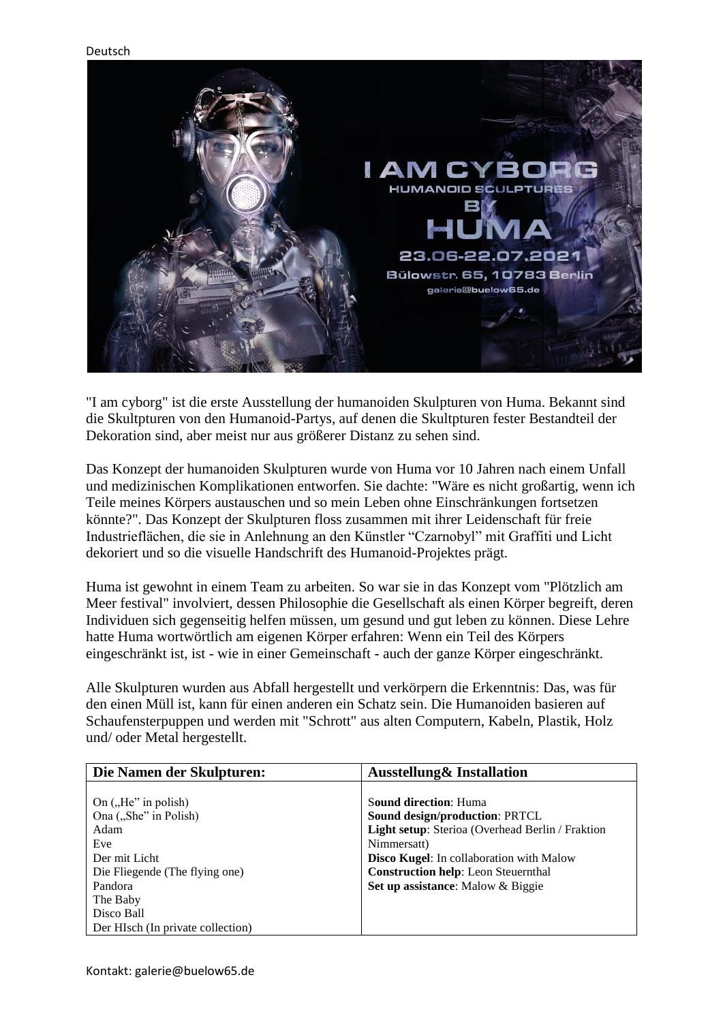

"I am cyborg" ist die erste Ausstellung der humanoiden Skulpturen von Huma. Bekannt sind die Skultpturen von den Humanoid-Partys, auf denen die Skultpturen fester Bestandteil der Dekoration sind, aber meist nur aus größerer Distanz zu sehen sind.

Das Konzept der humanoiden Skulpturen wurde von Huma vor 10 Jahren nach einem Unfall und medizinischen Komplikationen entworfen. Sie dachte: "Wäre es nicht großartig, wenn ich Teile meines Körpers austauschen und so mein Leben ohne Einschränkungen fortsetzen könnte?". Das Konzept der Skulpturen floss zusammen mit ihrer Leidenschaft für freie Industrieflächen, die sie in Anlehnung an den Künstler "Czarnobyl" mit Graffiti und Licht dekoriert und so die visuelle Handschrift des Humanoid-Projektes prägt.

Huma ist gewohnt in einem Team zu arbeiten. So war sie in das Konzept vom "Plötzlich am Meer festival" involviert, dessen Philosophie die Gesellschaft als einen Körper begreift, deren Individuen sich gegenseitig helfen müssen, um gesund und gut leben zu können. Diese Lehre hatte Huma wortwörtlich am eigenen Körper erfahren: Wenn ein Teil des Körpers eingeschränkt ist, ist - wie in einer Gemeinschaft - auch der ganze Körper eingeschränkt.

Alle Skulpturen wurden aus Abfall hergestellt und verkörpern die Erkenntnis: Das, was für den einen Müll ist, kann für einen anderen ein Schatz sein. Die Humanoiden basieren auf Schaufensterpuppen und werden mit "Schrott" aus alten Computern, Kabeln, Plastik, Holz und/ oder Metal hergestellt.

| Die Namen der Skulpturen:         | <b>Ausstellung&amp; Installation</b>             |
|-----------------------------------|--------------------------------------------------|
|                                   |                                                  |
| On $($ , He" in polish)           | <b>Sound direction: Huma</b>                     |
| Ona ("She" in Polish)             | <b>Sound design/production: PRTCL</b>            |
| Adam                              | Light setup: Sterioa (Overhead Berlin / Fraktion |
| Eve                               | Nimmersatt)                                      |
| Der mit Licht                     | <b>Disco Kugel:</b> In collaboration with Malow  |
| Die Fliegende (The flying one)    | <b>Construction help:</b> Leon Steuernthal       |
| Pandora                           | Set up assistance: Malow & Biggie                |
| The Baby                          |                                                  |
| Disco Ball                        |                                                  |
| Der HIsch (In private collection) |                                                  |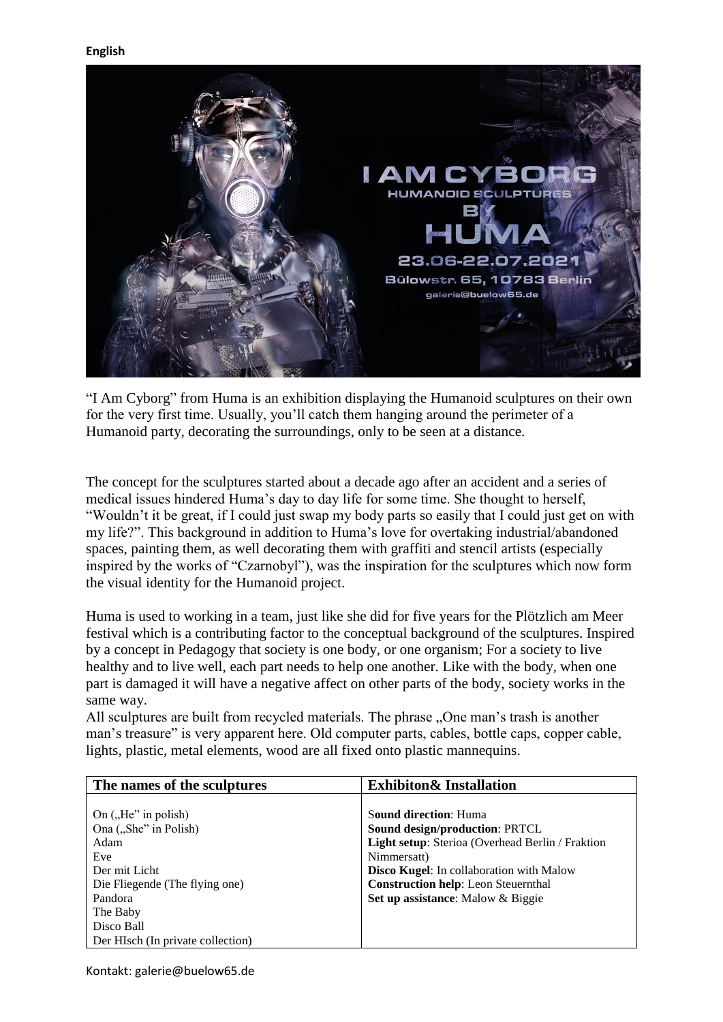

"I Am Cyborg" from Huma is an exhibition displaying the Humanoid sculptures on their own for the very first time. Usually, you'll catch them hanging around the perimeter of a Humanoid party, decorating the surroundings, only to be seen at a distance.

The concept for the sculptures started about a decade ago after an accident and a series of medical issues hindered Huma's day to day life for some time. She thought to herself, "Wouldn't it be great, if I could just swap my body parts so easily that I could just get on with my life?". This background in addition to Huma's love for overtaking industrial/abandoned spaces, painting them, as well decorating them with graffiti and stencil artists (especially inspired by the works of "Czarnobyl"), was the inspiration for the sculptures which now form the visual identity for the Humanoid project.

Huma is used to working in a team, just like she did for five years for the Plötzlich am Meer festival which is a contributing factor to the conceptual background of the sculptures. Inspired by a concept in Pedagogy that society is one body, or one organism; For a society to live healthy and to live well, each part needs to help one another. Like with the body, when one part is damaged it will have a negative affect on other parts of the body, society works in the same way.

All sculptures are built from recycled materials. The phrase "One man's trash is another man's treasure" is very apparent here. Old computer parts, cables, bottle caps, copper cable, lights, plastic, metal elements, wood are all fixed onto plastic mannequins.

| The names of the sculptures       | <b>Exhibiton &amp; Installation</b>              |
|-----------------------------------|--------------------------------------------------|
|                                   |                                                  |
| On $($ , $He$ " in polish)        | <b>Sound direction: Huma</b>                     |
| Ona ("She" in Polish)             | <b>Sound design/production: PRTCL</b>            |
| Adam                              | Light setup: Sterioa (Overhead Berlin / Fraktion |
| Eve                               | Nimmersatt)                                      |
| Der mit Licht                     | <b>Disco Kugel:</b> In collaboration with Malow  |
| Die Fliegende (The flying one)    | <b>Construction help:</b> Leon Steuernthal       |
| Pandora                           | Set up assistance: Malow & Biggie                |
| The Baby                          |                                                  |
| Disco Ball                        |                                                  |
| Der HIsch (In private collection) |                                                  |

Kontakt: galerie@buelow65.de